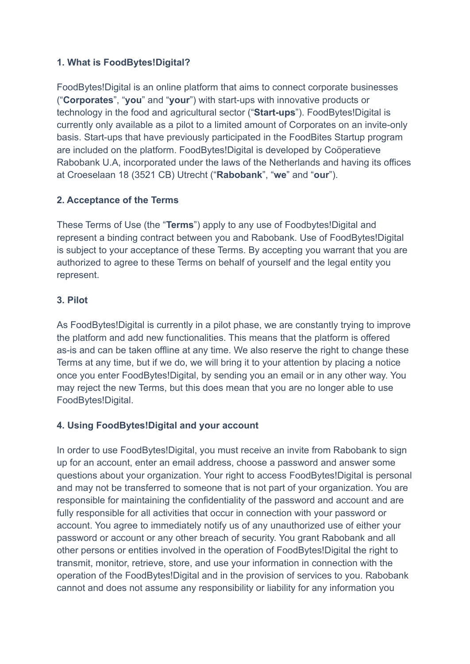# **1. What is FoodBytes!Digital?**

FoodBytes!Digital is an online platform that aims to connect corporate businesses ("**Corporates**", "**you**" and "**your**") with start-ups with innovative products or technology in the food and agricultural sector ("**Start-ups**"). FoodBytes!Digital is currently only available as a pilot to a limited amount of Corporates on an invite-only basis. Start-ups that have previously participated in the FoodBites Startup program are included on the platform. FoodBytes!Digital is developed by Coöperatieve Rabobank U.A, incorporated under the laws of the Netherlands and having its offices at Croeselaan 18 (3521 CB) Utrecht ("**Rabobank**", "**we**" and "**our**").

## **2. Acceptance of the Terms**

These Terms of Use (the "**Terms**") apply to any use of Foodbytes!Digital and represent a binding contract between you and Rabobank. Use of FoodBytes!Digital is subject to your acceptance of these Terms. By accepting you warrant that you are authorized to agree to these Terms on behalf of yourself and the legal entity you represent.

## **3. Pilot**

As FoodBytes!Digital is currently in a pilot phase, we are constantly trying to improve the platform and add new functionalities. This means that the platform is offered as-is and can be taken offline at any time. We also reserve the right to change these Terms at any time, but if we do, we will bring it to your attention by placing a notice once you enter FoodBytes!Digital, by sending you an email or in any other way. You may reject the new Terms, but this does mean that you are no longer able to use FoodBytes!Digital.

### **4. Using FoodBytes!Digital and your account**

In order to use FoodBytes!Digital, you must receive an invite from Rabobank to sign up for an account, enter an email address, choose a password and answer some questions about your organization. Your right to access FoodBytes!Digital is personal and may not be transferred to someone that is not part of your organization. You are responsible for maintaining the confidentiality of the password and account and are fully responsible for all activities that occur in connection with your password or account. You agree to immediately notify us of any unauthorized use of either your password or account or any other breach of security. You grant Rabobank and all other persons or entities involved in the operation of FoodBytes!Digital the right to transmit, monitor, retrieve, store, and use your information in connection with the operation of the FoodBytes!Digital and in the provision of services to you. Rabobank cannot and does not assume any responsibility or liability for any information you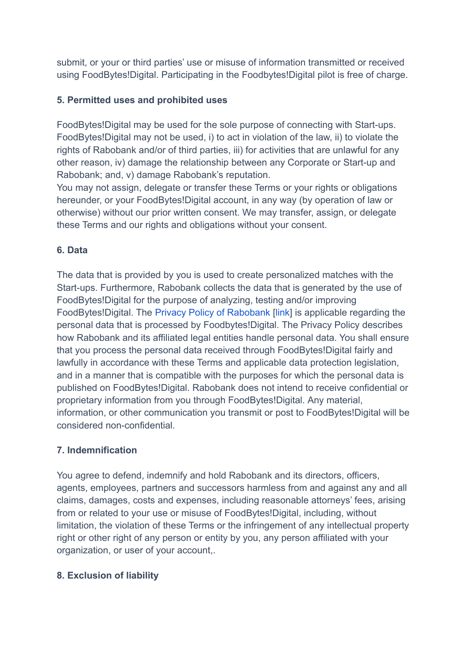submit, or your or third parties' use or misuse of information transmitted or received using FoodBytes!Digital. Participating in the Foodbytes!Digital pilot is free of charge.

### **5. Permitted uses and prohibited uses**

FoodBytes!Digital may be used for the sole purpose of connecting with Start-ups. FoodBytes!Digital may not be used, i) to act in violation of the law, ii) to violate the rights of Rabobank and/or of third parties, iii) for activities that are unlawful for any other reason, iv) damage the relationship between any Corporate or Start-up and Rabobank; and, v) damage Rabobank's reputation.

You may not assign, delegate or transfer these Terms or your rights or obligations hereunder, or your FoodBytes!Digital account, in any way (by operation of law or otherwise) without our prior written consent. We may transfer, assign, or delegate these Terms and our rights and obligations without your consent.

## **6. Data**

The data that is provided by you is used to create personalized matches with the Start-ups. Furthermore, Rabobank collects the data that is generated by the use of FoodBytes!Digital for the purpose of analyzing, testing and/or improving FoodBytes!Digital. The Privacy Policy of Rabobank [link] is applicable regarding the personal data that is processed by Foodbytes!Digital. The Privacy Policy describes how Rabobank and its affiliated legal entities handle personal data. You shall ensure that you process the personal data received through FoodBytes!Digital fairly and lawfully in accordance with these Terms and applicable data protection legislation, and in a manner that is compatible with the purposes for which the personal data is published on FoodBytes!Digital. Rabobank does not intend to receive confidential or proprietary information from you through FoodBytes!Digital. Any material, information, or other communication you transmit or post to FoodBytes!Digital will be considered non-confidential.

### **7. Indemnification**

You agree to defend, indemnify and hold Rabobank and its directors, officers, agents, employees, partners and successors harmless from and against any and all claims, damages, costs and expenses, including reasonable attorneys' fees, arising from or related to your use or misuse of FoodBytes!Digital, including, without limitation, the violation of these Terms or the infringement of any intellectual property right or other right of any person or entity by you, any person affiliated with your organization, or user of your account,.

### **8. Exclusion of liability**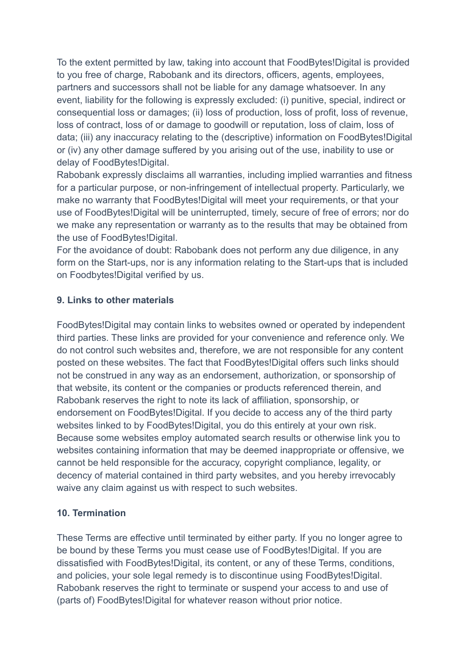To the extent permitted by law, taking into account that FoodBytes!Digital is provided to you free of charge, Rabobank and its directors, officers, agents, employees, partners and successors shall not be liable for any damage whatsoever. In any event, liability for the following is expressly excluded: (i) punitive, special, indirect or consequential loss or damages; (ii) loss of production, loss of profit, loss of revenue, loss of contract, loss of or damage to goodwill or reputation, loss of claim, loss of data; (iii) any inaccuracy relating to the (descriptive) information on FoodBytes!Digital or (iv) any other damage suffered by you arising out of the use, inability to use or delay of FoodBytes!Digital.

Rabobank expressly disclaims all warranties, including implied warranties and fitness for a particular purpose, or non-infringement of intellectual property. Particularly, we make no warranty that FoodBytes!Digital will meet your requirements, or that your use of FoodBytes!Digital will be uninterrupted, timely, secure of free of errors; nor do we make any representation or warranty as to the results that may be obtained from the use of FoodBytes!Digital.

For the avoidance of doubt: Rabobank does not perform any due diligence, in any form on the Start-ups, nor is any information relating to the Start-ups that is included on Foodbytes!Digital verified by us.

## **9. Links to other materials**

FoodBytes!Digital may contain links to websites owned or operated by independent third parties. These links are provided for your convenience and reference only. We do not control such websites and, therefore, we are not responsible for any content posted on these websites. The fact that FoodBytes!Digital offers such links should not be construed in any way as an endorsement, authorization, or sponsorship of that website, its content or the companies or products referenced therein, and Rabobank reserves the right to note its lack of affiliation, sponsorship, or endorsement on FoodBytes!Digital. If you decide to access any of the third party websites linked to by FoodBytes!Digital, you do this entirely at your own risk. Because some websites employ automated search results or otherwise link you to websites containing information that may be deemed inappropriate or offensive, we cannot be held responsible for the accuracy, copyright compliance, legality, or decency of material contained in third party websites, and you hereby irrevocably waive any claim against us with respect to such websites.

### **10. Termination**

These Terms are effective until terminated by either party. If you no longer agree to be bound by these Terms you must cease use of FoodBytes!Digital. If you are dissatisfied with FoodBytes!Digital, its content, or any of these Terms, conditions, and policies, your sole legal remedy is to discontinue using FoodBytes!Digital. Rabobank reserves the right to terminate or suspend your access to and use of (parts of) FoodBytes!Digital for whatever reason without prior notice.